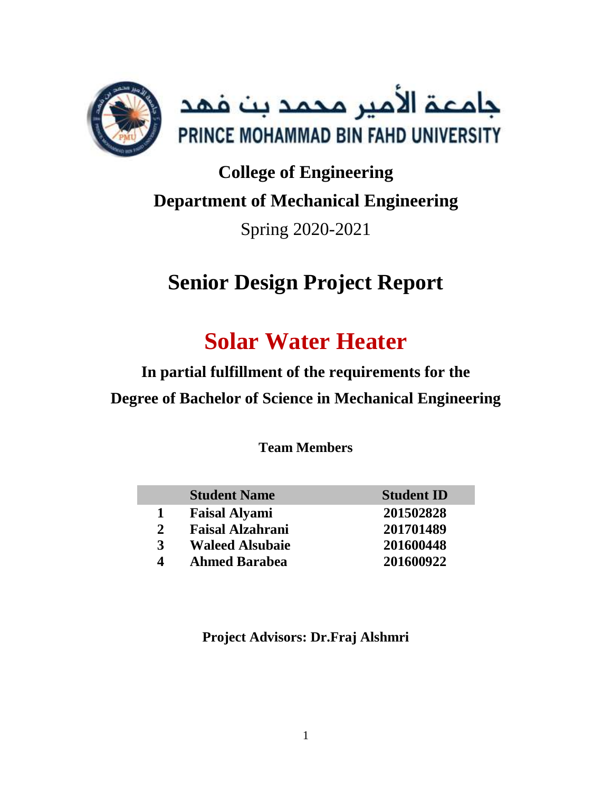

# **College of Engineering Department of Mechanical Engineering** Spring 2020-2021

# **Senior Design Project Report**

# **Solar Water Heater**

**In partial fulfillment of the requirements for the Degree of Bachelor of Science in Mechanical Engineering**

**Team Members**

|              | <b>Student Name</b>     | <b>Student ID</b> |
|--------------|-------------------------|-------------------|
|              | <b>Faisal Alyami</b>    | 201502828         |
| $\mathbf{2}$ | <b>Faisal Alzahrani</b> | 201701489         |
| 3            | <b>Waleed Alsubaie</b>  | 201600448         |
| $\Delta$     | <b>Ahmed Barabea</b>    | 201600922         |

**Project Advisors: Dr.Fraj Alshmri**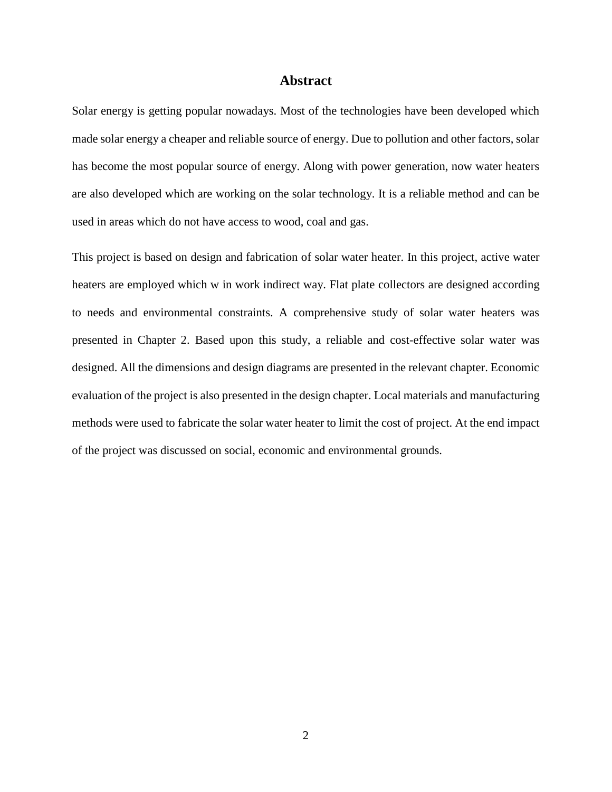#### **Abstract**

<span id="page-1-0"></span>Solar energy is getting popular nowadays. Most of the technologies have been developed which made solar energy a cheaper and reliable source of energy. Due to pollution and other factors, solar has become the most popular source of energy. Along with power generation, now water heaters are also developed which are working on the solar technology. It is a reliable method and can be used in areas which do not have access to wood, coal and gas.

This project is based on design and fabrication of solar water heater. In this project, active water heaters are employed which w in work indirect way. Flat plate collectors are designed according to needs and environmental constraints. A comprehensive study of solar water heaters was presented in Chapter 2. Based upon this study, a reliable and cost-effective solar water was designed. All the dimensions and design diagrams are presented in the relevant chapter. Economic evaluation of the project is also presented in the design chapter. Local materials and manufacturing methods were used to fabricate the solar water heater to limit the cost of project. At the end impact of the project was discussed on social, economic and environmental grounds.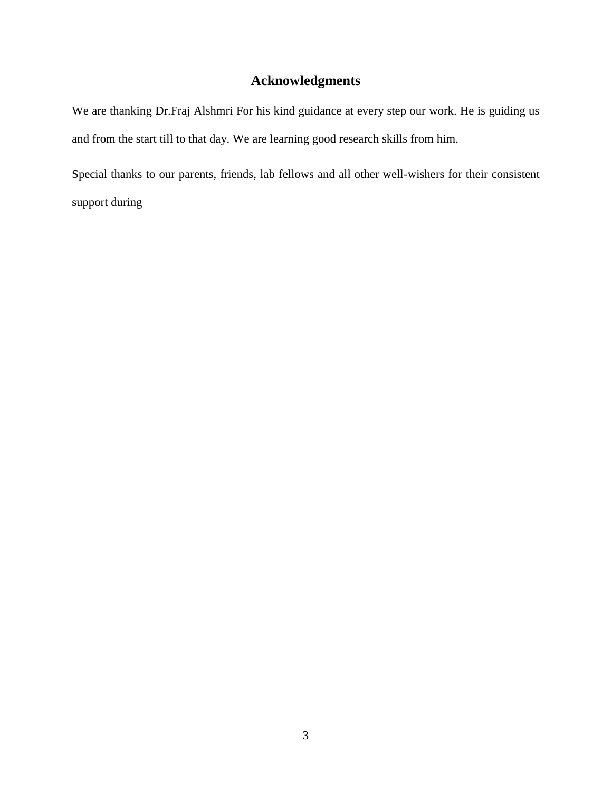# **Acknowledgments**

<span id="page-2-0"></span>We are thanking Dr.Fraj Alshmri For his kind guidance at every step our work. He is guiding us and from the start till to that day. We are learning good research skills from him.

Special thanks to our parents, friends, lab fellows and all other well-wishers for their consistent support during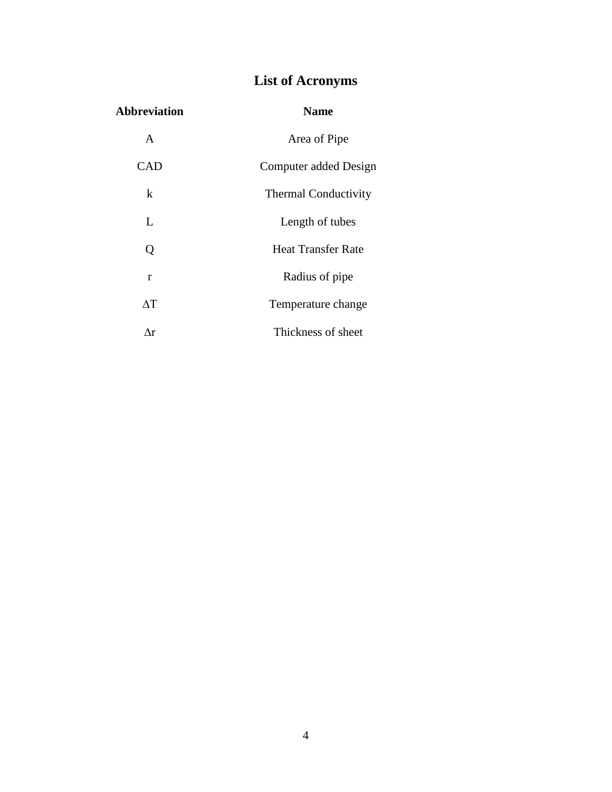# **List of Acronyms**

<span id="page-3-0"></span>

| <b>Abbreviation</b> | <b>Name</b>                 |
|---------------------|-----------------------------|
| A                   | Area of Pipe                |
| CAD                 | Computer added Design       |
| k                   | <b>Thermal Conductivity</b> |
| L                   | Length of tubes             |
| Q                   | <b>Heat Transfer Rate</b>   |
| r                   | Radius of pipe              |
| $\Delta T$          | Temperature change          |
| Лr                  | Thickness of sheet          |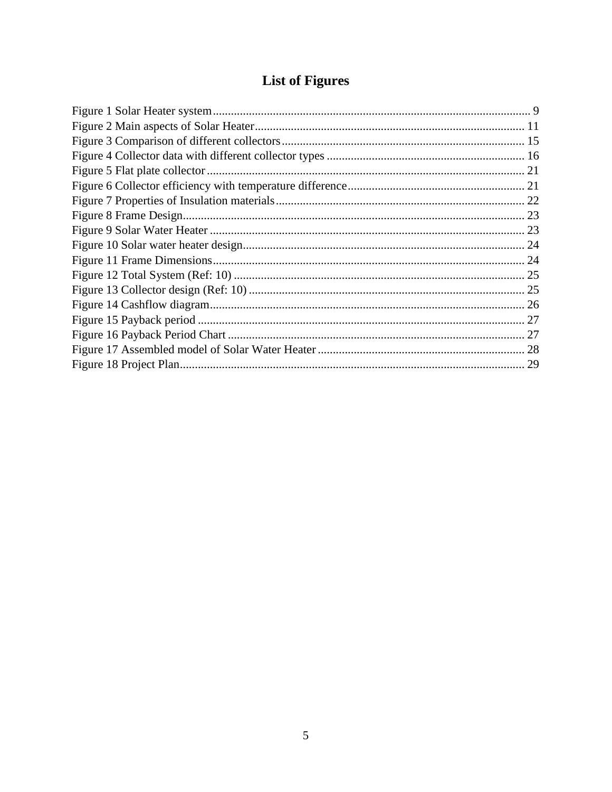# **List of Figures**

<span id="page-4-0"></span>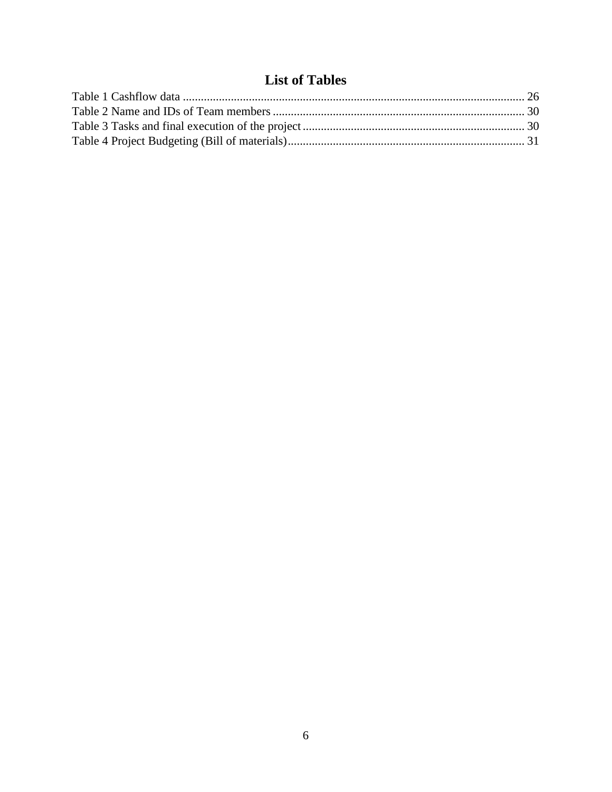# **List of Tables**

<span id="page-5-0"></span>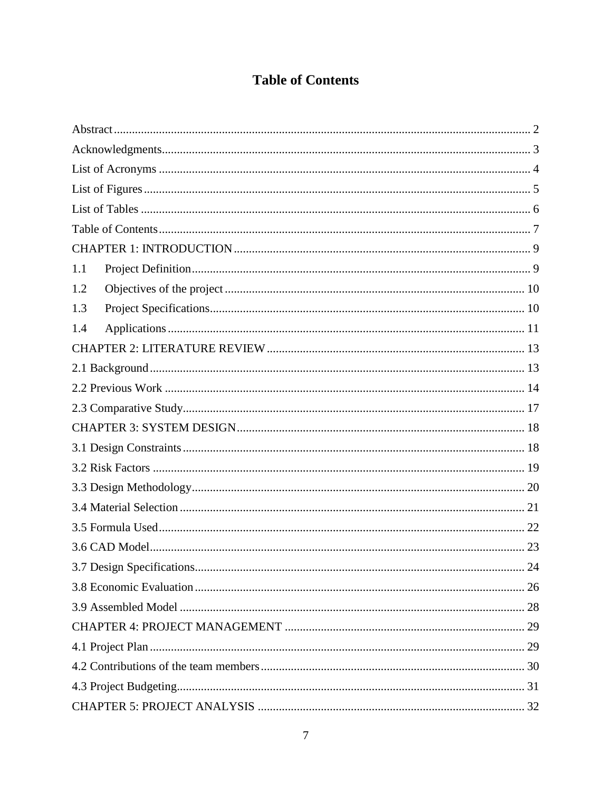## **Table of Contents**

<span id="page-6-0"></span>

| 1.1 |    |
|-----|----|
| 1.2 |    |
| 1.3 |    |
| 1.4 |    |
|     |    |
|     |    |
|     |    |
|     |    |
|     |    |
|     |    |
|     |    |
|     |    |
|     |    |
|     |    |
|     |    |
|     | 24 |
|     |    |
|     |    |
|     |    |
|     |    |
|     |    |
|     |    |
|     |    |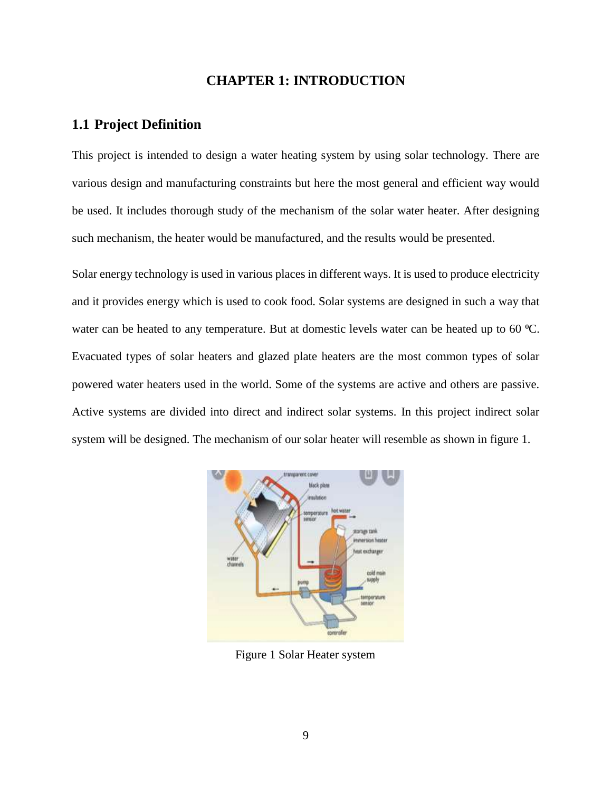#### **CHAPTER 1: INTRODUCTION**

#### <span id="page-8-1"></span><span id="page-8-0"></span>**1.1 Project Definition**

This project is intended to design a water heating system by using solar technology. There are various design and manufacturing constraints but here the most general and efficient way would be used. It includes thorough study of the mechanism of the solar water heater. After designing such mechanism, the heater would be manufactured, and the results would be presented.

Solar energy technology is used in various places in different ways. It is used to produce electricity and it provides energy which is used to cook food. Solar systems are designed in such a way that water can be heated to any temperature. But at domestic levels water can be heated up to 60 °C. Evacuated types of solar heaters and glazed plate heaters are the most common types of solar powered water heaters used in the world. Some of the systems are active and others are passive. Active systems are divided into direct and indirect solar systems. In this project indirect solar system will be designed. The mechanism of our solar heater will resemble as shown in figure 1.



Figure 1 Solar Heater system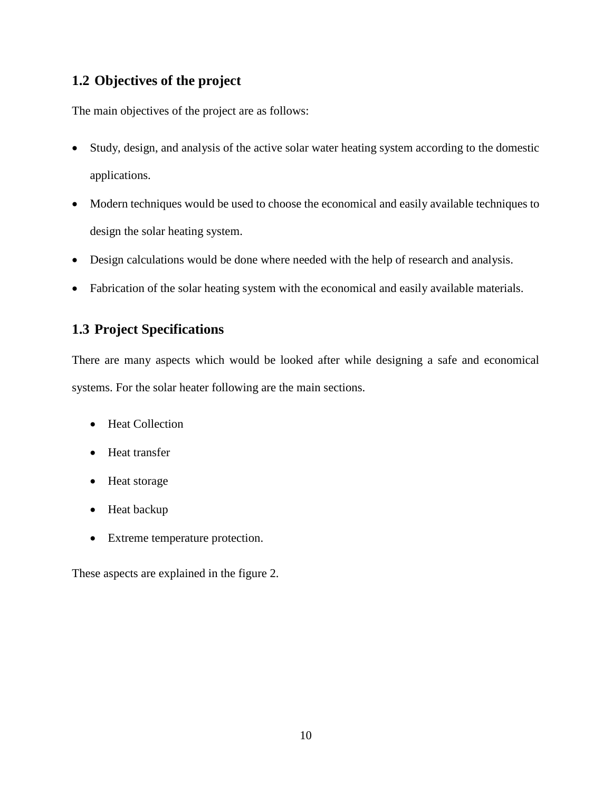#### <span id="page-9-0"></span>**1.2 Objectives of the project**

The main objectives of the project are as follows:

- Study, design, and analysis of the active solar water heating system according to the domestic applications.
- Modern techniques would be used to choose the economical and easily available techniques to design the solar heating system.
- Design calculations would be done where needed with the help of research and analysis.
- Fabrication of the solar heating system with the economical and easily available materials.

### <span id="page-9-1"></span>**1.3 Project Specifications**

There are many aspects which would be looked after while designing a safe and economical systems. For the solar heater following are the main sections.

- Heat Collection
- Heat transfer
- Heat storage
- Heat backup
- Extreme temperature protection.

These aspects are explained in the figure 2.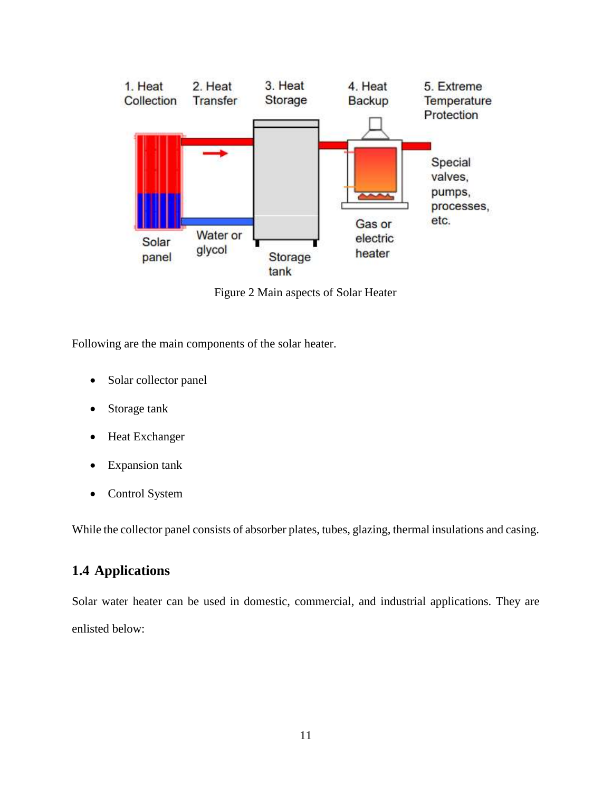

Figure 2 Main aspects of Solar Heater

Following are the main components of the solar heater.

- Solar collector panel
- Storage tank
- Heat Exchanger
- Expansion tank
- Control System

While the collector panel consists of absorber plates, tubes, glazing, thermal insulations and casing.

### <span id="page-10-0"></span>**1.4 Applications**

Solar water heater can be used in domestic, commercial, and industrial applications. They are enlisted below: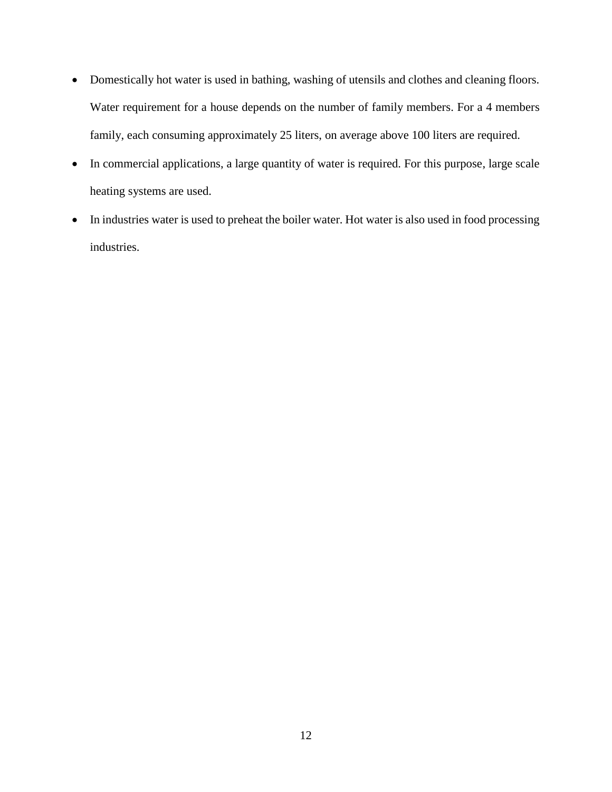- Domestically hot water is used in bathing, washing of utensils and clothes and cleaning floors. Water requirement for a house depends on the number of family members. For a 4 members family, each consuming approximately 25 liters, on average above 100 liters are required.
- In commercial applications, a large quantity of water is required. For this purpose, large scale heating systems are used.
- In industries water is used to preheat the boiler water. Hot water is also used in food processing industries.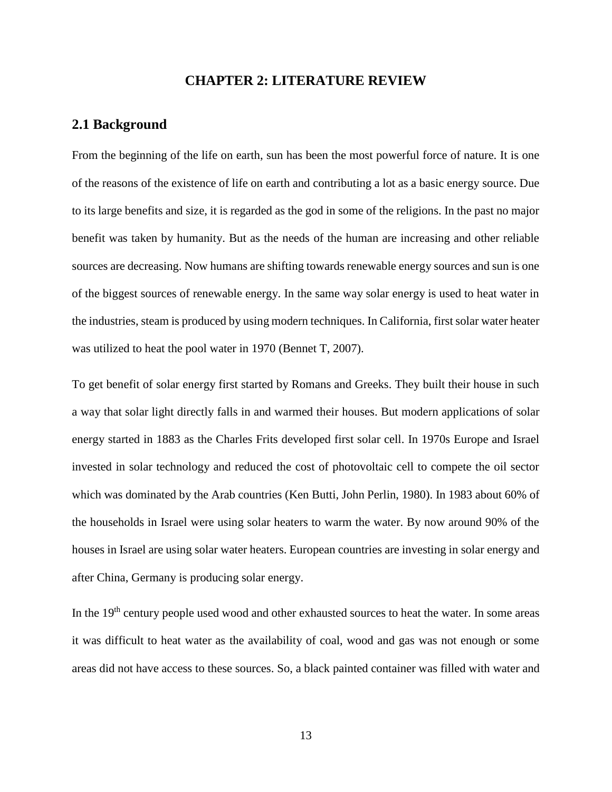#### **CHAPTER 2: LITERATURE REVIEW**

#### <span id="page-12-1"></span><span id="page-12-0"></span>**2.1 Background**

From the beginning of the life on earth, sun has been the most powerful force of nature. It is one of the reasons of the existence of life on earth and contributing a lot as a basic energy source. Due to its large benefits and size, it is regarded as the god in some of the religions. In the past no major benefit was taken by humanity. But as the needs of the human are increasing and other reliable sources are decreasing. Now humans are shifting towards renewable energy sources and sun is one of the biggest sources of renewable energy. In the same way solar energy is used to heat water in the industries, steam is produced by using modern techniques. In California, first solar water heater was utilized to heat the pool water in 1970 (Bennet T, 2007).

To get benefit of solar energy first started by Romans and Greeks. They built their house in such a way that solar light directly falls in and warmed their houses. But modern applications of solar energy started in 1883 as the Charles Frits developed first solar cell. In 1970s Europe and Israel invested in solar technology and reduced the cost of photovoltaic cell to compete the oil sector which was dominated by the Arab countries (Ken Butti, John Perlin, 1980). In 1983 about 60% of the households in Israel were using solar heaters to warm the water. By now around 90% of the houses in Israel are using solar water heaters. European countries are investing in solar energy and after China, Germany is producing solar energy.

In the 19<sup>th</sup> century people used wood and other exhausted sources to heat the water. In some areas it was difficult to heat water as the availability of coal, wood and gas was not enough or some areas did not have access to these sources. So, a black painted container was filled with water and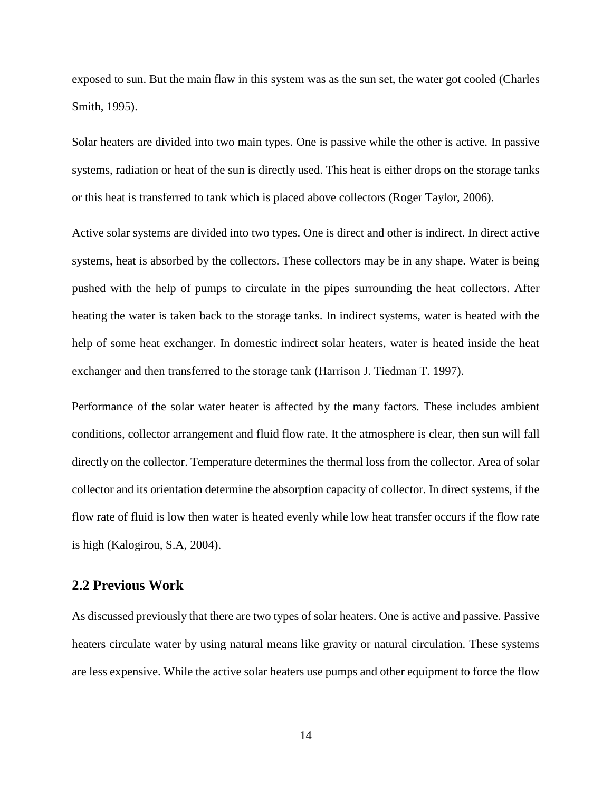exposed to sun. But the main flaw in this system was as the sun set, the water got cooled (Charles Smith, 1995).

Solar heaters are divided into two main types. One is passive while the other is active. In passive systems, radiation or heat of the sun is directly used. This heat is either drops on the storage tanks or this heat is transferred to tank which is placed above collectors (Roger Taylor, 2006).

Active solar systems are divided into two types. One is direct and other is indirect. In direct active systems, heat is absorbed by the collectors. These collectors may be in any shape. Water is being pushed with the help of pumps to circulate in the pipes surrounding the heat collectors. After heating the water is taken back to the storage tanks. In indirect systems, water is heated with the help of some heat exchanger. In domestic indirect solar heaters, water is heated inside the heat exchanger and then transferred to the storage tank (Harrison J. Tiedman T. 1997).

Performance of the solar water heater is affected by the many factors. These includes ambient conditions, collector arrangement and fluid flow rate. It the atmosphere is clear, then sun will fall directly on the collector. Temperature determines the thermal loss from the collector. Area of solar collector and its orientation determine the absorption capacity of collector. In direct systems, if the flow rate of fluid is low then water is heated evenly while low heat transfer occurs if the flow rate is high (Kalogirou, S.A, 2004).

#### <span id="page-13-0"></span>**2.2 Previous Work**

As discussed previously that there are two types of solar heaters. One is active and passive. Passive heaters circulate water by using natural means like gravity or natural circulation. These systems are less expensive. While the active solar heaters use pumps and other equipment to force the flow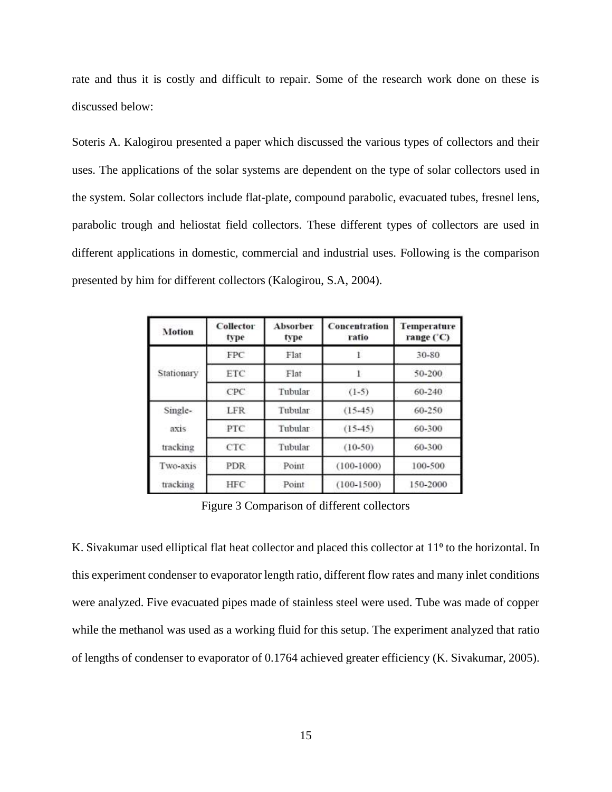rate and thus it is costly and difficult to repair. Some of the research work done on these is discussed below:

Soteris A. Kalogirou presented a paper which discussed the various types of collectors and their uses. The applications of the solar systems are dependent on the type of solar collectors used in the system. Solar collectors include flat-plate, compound parabolic, evacuated tubes, fresnel lens, parabolic trough and heliostat field collectors. These different types of collectors are used in different applications in domestic, commercial and industrial uses. Following is the comparison presented by him for different collectors (Kalogirou, S.A, 2004).

| <b>Motion</b> | Collector<br>type | <b>Absorber</b><br>type | Concentration<br>ratio | Temperature<br>range ('C) |
|---------------|-------------------|-------------------------|------------------------|---------------------------|
|               | <b>FPC</b>        | Flat                    |                        | 30-80                     |
| Stationary    | <b>ETC</b>        | Flat                    |                        | 50-200                    |
|               | CPC               | Tubular                 | $(1-5)$                | 60-240                    |
| Single-       | <b>LFR</b>        | Tubular                 | $(15-45)$              | 60-250                    |
| axis          | PTC               | Tubular                 | $(15-45)$              | 60-300                    |
| tracking      | CTC.              | Tubular                 | $(10-50)$              | 60-300                    |
| Two-axis      | <b>PDR</b>        | Point                   | $(100 - 1000)$         | 100-500                   |
| tracking      | HFC               | Point                   | $(100 - 1500)$         | 150-2000                  |

Figure 3 Comparison of different collectors

K. Sivakumar used elliptical flat heat collector and placed this collector at 11<sup>o</sup> to the horizontal. In this experiment condenser to evaporator length ratio, different flow rates and many inlet conditions were analyzed. Five evacuated pipes made of stainless steel were used. Tube was made of copper while the methanol was used as a working fluid for this setup. The experiment analyzed that ratio of lengths of condenser to evaporator of 0.1764 achieved greater efficiency (K. Sivakumar, 2005).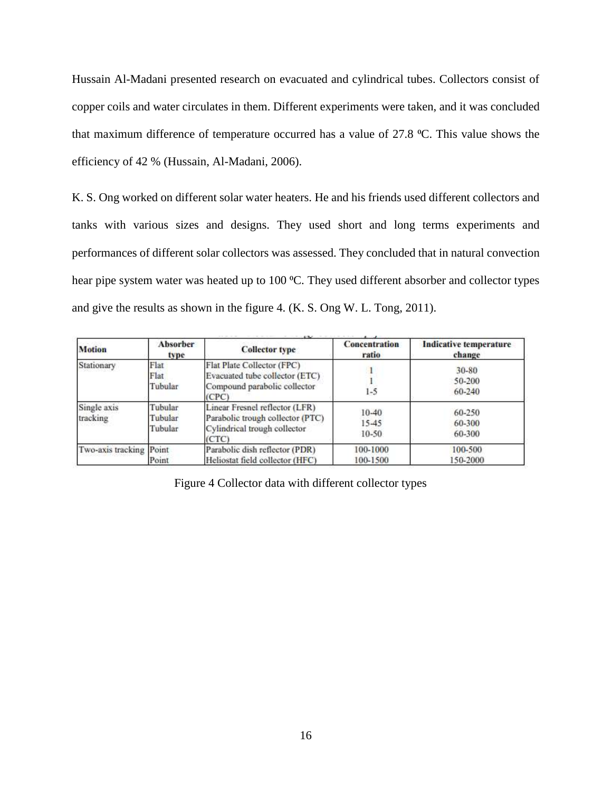Hussain Al-Madani presented research on evacuated and cylindrical tubes. Collectors consist of copper coils and water circulates in them. Different experiments were taken, and it was concluded that maximum difference of temperature occurred has a value of 27.8 °C. This value shows the efficiency of 42 % (Hussain, Al-Madani, 2006).

K. S. Ong worked on different solar water heaters. He and his friends used different collectors and tanks with various sizes and designs. They used short and long terms experiments and performances of different solar collectors was assessed. They concluded that in natural convection hear pipe system water was heated up to 100 °C. They used different absorber and collector types and give the results as shown in the figure 4. (K. S. Ong W. L. Tong, 2011).

| <b>Motion</b>           | <b>Absorber</b><br>type       | <b>Collector type</b>                                                                                       | <b>Concentration</b><br>ratio | <b>Indicative temperature</b><br>change |
|-------------------------|-------------------------------|-------------------------------------------------------------------------------------------------------------|-------------------------------|-----------------------------------------|
| Stationary              | Flat<br>Flat<br>Tubular       | Flat Plate Collector (FPC)<br>Evacuated tube collector (ETC)<br>Compound parabolic collector<br>(CPC)       | $1 - 5$                       | 30-80<br>50-200<br>60-240               |
| Single axis<br>tracking | Tubular<br>Tubular<br>Tubular | Linear Fresnel reflector (LFR)<br>Parabolic trough collector (PTC)<br>Cylindrical trough collector<br>(CTC) | $10-40$<br>15-45<br>$10-50$   | 60-250<br>60-300<br>60-300              |
| Two-axis tracking Point | Point                         | Parabolic dish reflector (PDR)<br>Heliostat field collector (HFC)                                           | 100-1000<br>100-1500          | 100-500<br>150-2000                     |

Figure 4 Collector data with different collector types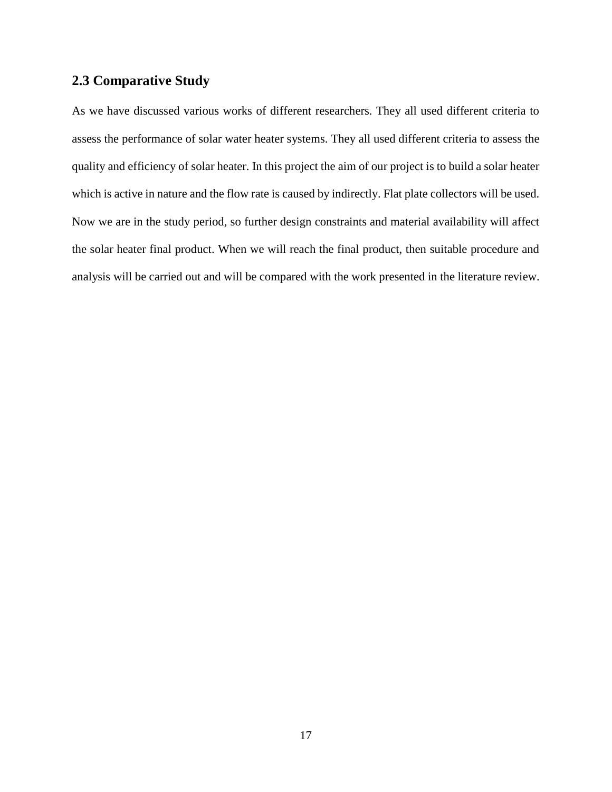#### <span id="page-16-0"></span>**2.3 Comparative Study**

As we have discussed various works of different researchers. They all used different criteria to assess the performance of solar water heater systems. They all used different criteria to assess the quality and efficiency of solar heater. In this project the aim of our project is to build a solar heater which is active in nature and the flow rate is caused by indirectly. Flat plate collectors will be used. Now we are in the study period, so further design constraints and material availability will affect the solar heater final product. When we will reach the final product, then suitable procedure and analysis will be carried out and will be compared with the work presented in the literature review.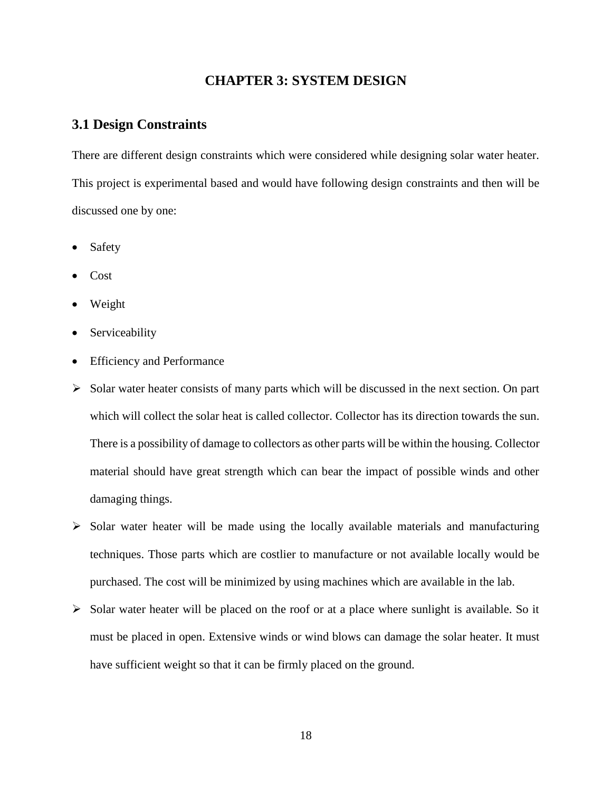#### **CHAPTER 3: SYSTEM DESIGN**

#### <span id="page-17-1"></span><span id="page-17-0"></span>**3.1 Design Constraints**

There are different design constraints which were considered while designing solar water heater. This project is experimental based and would have following design constraints and then will be discussed one by one:

- Safety
- Cost
- Weight
- Serviceability
- Efficiency and Performance
- $\triangleright$  Solar water heater consists of many parts which will be discussed in the next section. On part which will collect the solar heat is called collector. Collector has its direction towards the sun. There is a possibility of damage to collectors as other parts will be within the housing. Collector material should have great strength which can bear the impact of possible winds and other damaging things.
- $\triangleright$  Solar water heater will be made using the locally available materials and manufacturing techniques. Those parts which are costlier to manufacture or not available locally would be purchased. The cost will be minimized by using machines which are available in the lab.
- $\triangleright$  Solar water heater will be placed on the roof or at a place where sunlight is available. So it must be placed in open. Extensive winds or wind blows can damage the solar heater. It must have sufficient weight so that it can be firmly placed on the ground.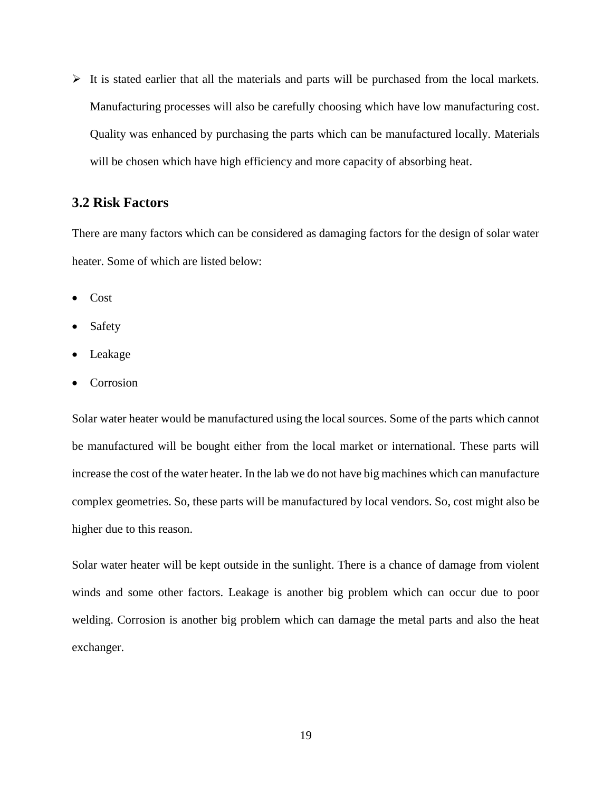$\triangleright$  It is stated earlier that all the materials and parts will be purchased from the local markets. Manufacturing processes will also be carefully choosing which have low manufacturing cost. Quality was enhanced by purchasing the parts which can be manufactured locally. Materials will be chosen which have high efficiency and more capacity of absorbing heat.

#### <span id="page-18-0"></span>**3.2 Risk Factors**

There are many factors which can be considered as damaging factors for the design of solar water heater. Some of which are listed below:

- Cost
- Safety
- Leakage
- **Corrosion**

Solar water heater would be manufactured using the local sources. Some of the parts which cannot be manufactured will be bought either from the local market or international. These parts will increase the cost of the water heater. In the lab we do not have big machines which can manufacture complex geometries. So, these parts will be manufactured by local vendors. So, cost might also be higher due to this reason.

Solar water heater will be kept outside in the sunlight. There is a chance of damage from violent winds and some other factors. Leakage is another big problem which can occur due to poor welding. Corrosion is another big problem which can damage the metal parts and also the heat exchanger.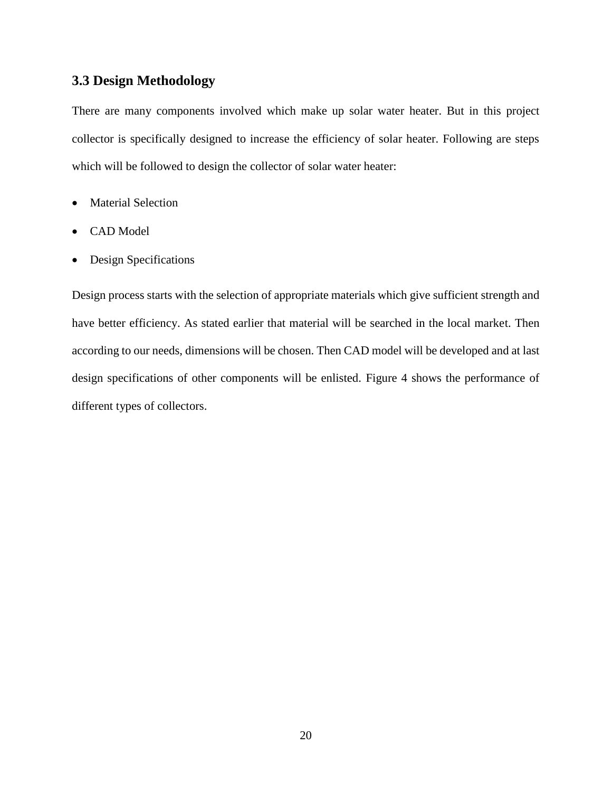#### <span id="page-19-0"></span>**3.3 Design Methodology**

There are many components involved which make up solar water heater. But in this project collector is specifically designed to increase the efficiency of solar heater. Following are steps which will be followed to design the collector of solar water heater:

- Material Selection
- CAD Model
- Design Specifications

Design process starts with the selection of appropriate materials which give sufficient strength and have better efficiency. As stated earlier that material will be searched in the local market. Then according to our needs, dimensions will be chosen. Then CAD model will be developed and at last design specifications of other components will be enlisted. Figure 4 shows the performance of different types of collectors.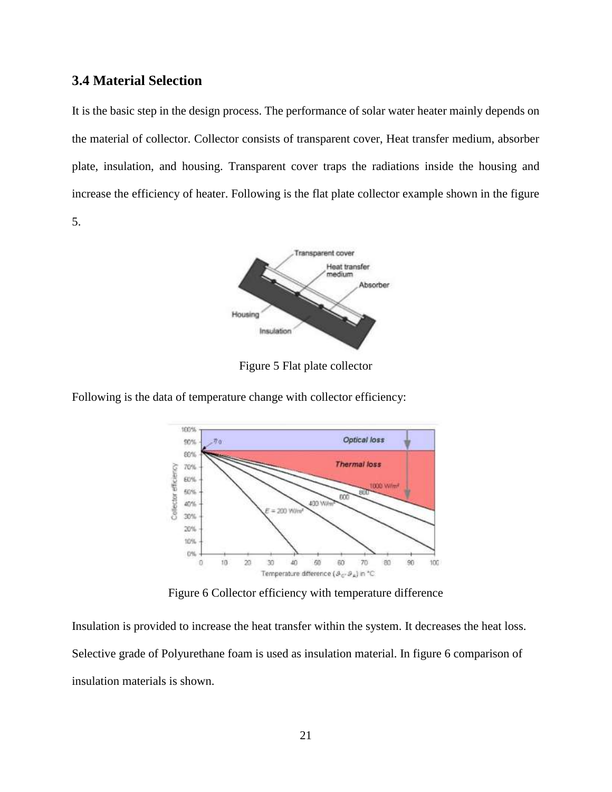#### <span id="page-20-0"></span>**3.4 Material Selection**

It is the basic step in the design process. The performance of solar water heater mainly depends on the material of collector. Collector consists of transparent cover, Heat transfer medium, absorber plate, insulation, and housing. Transparent cover traps the radiations inside the housing and increase the efficiency of heater. Following is the flat plate collector example shown in the figure 5.



Figure 5 Flat plate collector



Following is the data of temperature change with collector efficiency:

Figure 6 Collector efficiency with temperature difference

Insulation is provided to increase the heat transfer within the system. It decreases the heat loss. Selective grade of Polyurethane foam is used as insulation material. In figure 6 comparison of insulation materials is shown.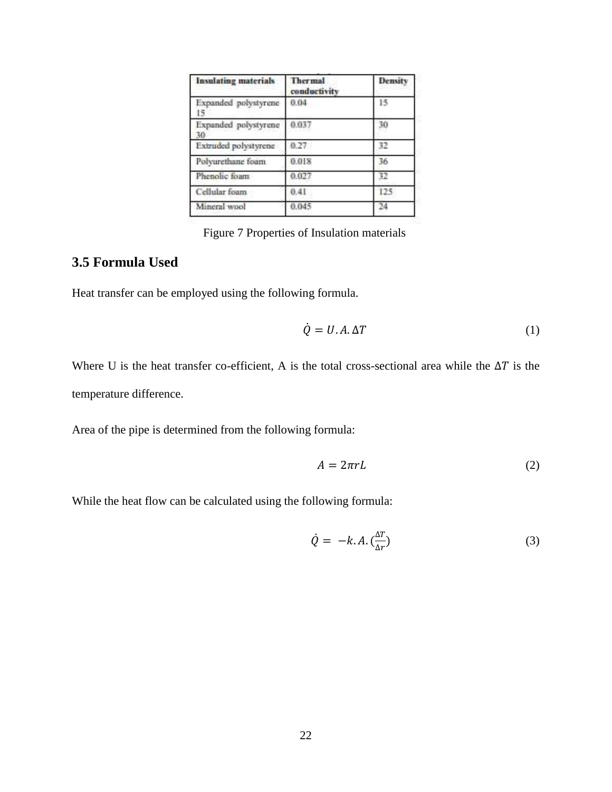| <b>Insulating materials</b> | Thermal<br>conductivity | Density |
|-----------------------------|-------------------------|---------|
| Expanded polystyrene<br>15  | 0.04                    | 15      |
| Expanded polystyrene<br>30  | 0.037                   | 30      |
| Extruded polystyrene        | 0.27                    | 32      |
| Polyurethane foam           | 0.018                   | 36      |
| Phenolic foam               | 0.027                   | 37      |
| Cellular foam               | 0.41                    | 125     |
| Mineral wool                | 0.045                   | 24      |

Figure 7 Properties of Insulation materials

#### <span id="page-21-0"></span>**3.5 Formula Used**

Heat transfer can be employed using the following formula.

$$
\dot{Q} = U.A.\Delta T \tag{1}
$$

Where U is the heat transfer co-efficient, A is the total cross-sectional area while the  $\Delta T$  is the temperature difference.

Area of the pipe is determined from the following formula:

$$
A = 2\pi rL \tag{2}
$$

While the heat flow can be calculated using the following formula:

$$
\dot{Q} = -k \cdot A \cdot \left(\frac{\Delta T}{\Delta r}\right) \tag{3}
$$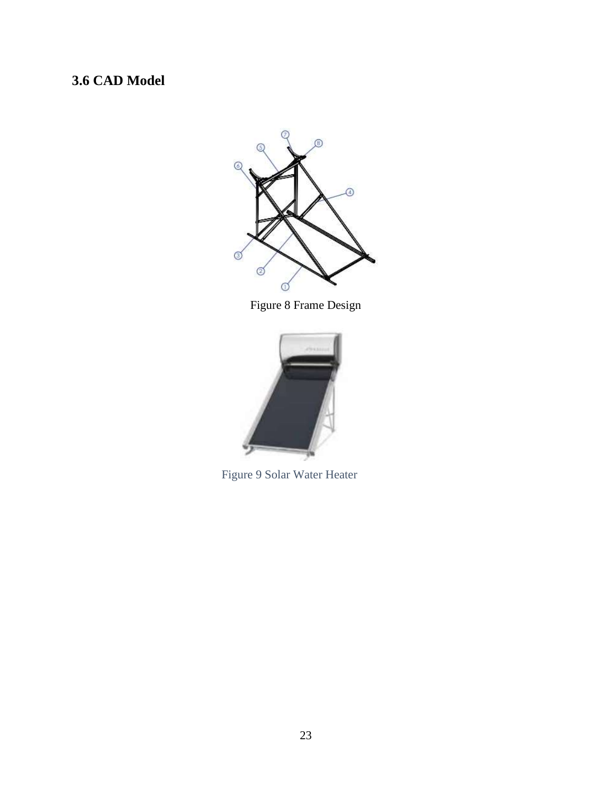# <span id="page-22-0"></span>**3.6 CAD Model**



Figure 8 Frame Design



Figure 9 Solar Water Heater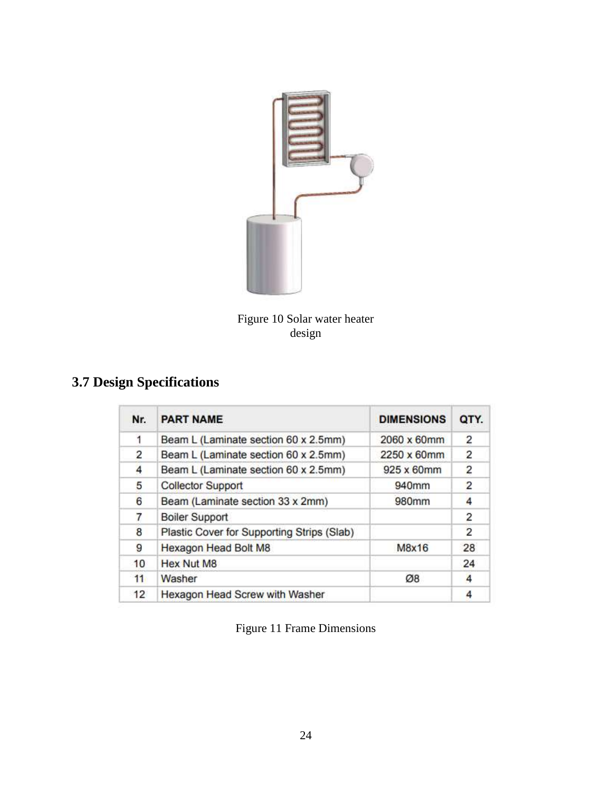

Figure 10 Solar water heater design

# <span id="page-23-0"></span>**3.7 Design Specifications**

| Nr. | <b>PART NAME</b>                           | <b>DIMENSIONS</b> | QTY.           |
|-----|--------------------------------------------|-------------------|----------------|
| 1   | Beam L (Laminate section 60 x 2.5mm)       | 2060 x 60mm       | $\overline{c}$ |
| 2   | Beam L (Laminate section 60 x 2.5mm)       | 2250 x 60mm       | $\overline{2}$ |
| 4   | Beam L (Laminate section 60 x 2.5mm)       | 925 x 60mm        | $\overline{2}$ |
| 5   | <b>Collector Support</b>                   | 940mm             | $\overline{2}$ |
| 6   | Beam (Laminate section 33 x 2mm)           | 980mm             | 4              |
| 7   | <b>Boiler Support</b>                      |                   | 2              |
| 8   | Plastic Cover for Supporting Strips (Slab) |                   | $\overline{2}$ |
| 9   | Hexagon Head Bolt M8                       | M8x16             | 28             |
| 10  | <b>Hex Nut M8</b>                          |                   | 24             |
| 11  | Washer                                     | Ø8                | 4              |
| 12  | Hexagon Head Screw with Washer             |                   | 4              |

Figure 11 Frame Dimensions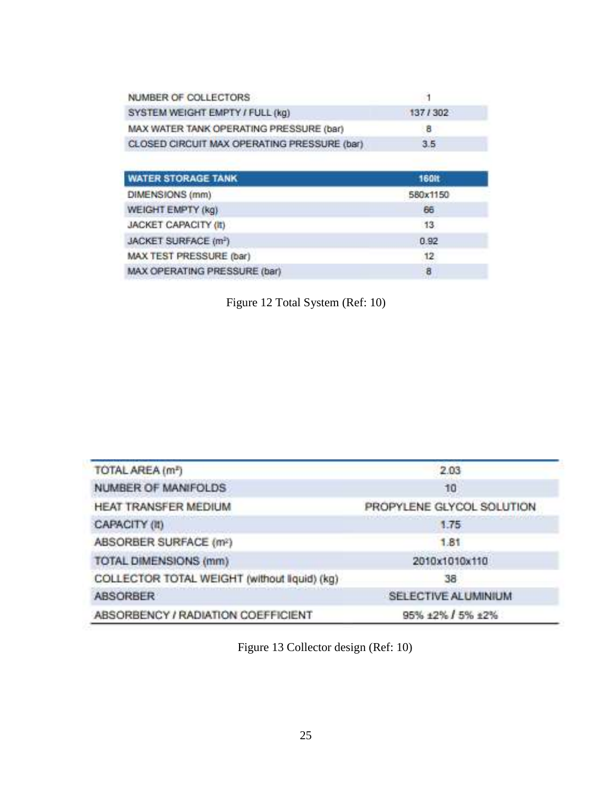| NUMBER OF COLLECTORS                        |         |
|---------------------------------------------|---------|
| SYSTEM WEIGHT EMPTY / FULL (kg)             | 137/302 |
| MAX WATER TANK OPERATING PRESSURE (bar)     | 8       |
| CLOSED CIRCUIT MAX OPERATING PRESSURE (bar) | 3.5.    |

| <b>WATER STORAGE TANK</b>        | <b>160it</b> |
|----------------------------------|--------------|
| DIMENSIONS (mm)                  | 580x1150     |
| WEIGHT EMPTY (kg)                | 66           |
| <b>JACKET CAPACITY (II)</b>      | 13           |
| JACKET SURFACE (m <sup>3</sup> ) | 0.92         |
| MAX TEST PRESSURE (bar)          | 12           |
| MAX OPERATING PRESSURE (bar)     | 8            |

Figure 12 Total System (Ref: 10)

| TOTAL AREA (m <sup>z</sup> )                 | 2.03                      |
|----------------------------------------------|---------------------------|
| <b>NUMBER OF MANIFOLDS</b>                   | 10                        |
| HEAT TRANSFER MEDIUM                         | PROPYLENE GLYCOL SOLUTION |
| CAPACITY (II)                                | 1.75                      |
| ABSORBER SURFACE (m <sup>2</sup> )           | 1.81                      |
| TOTAL DIMENSIONS (mm)                        | 2010x1010x110             |
| COLLECTOR TOTAL WEIGHT (without liquid) (kg) | 38                        |
| <b>ABSORBER</b>                              | SELECTIVE ALUMINIUM       |
| ABSORBENCY / RADIATION COEFFICIENT           | 95% ±2% / 5% ±2%          |

Figure 13 Collector design (Ref: 10)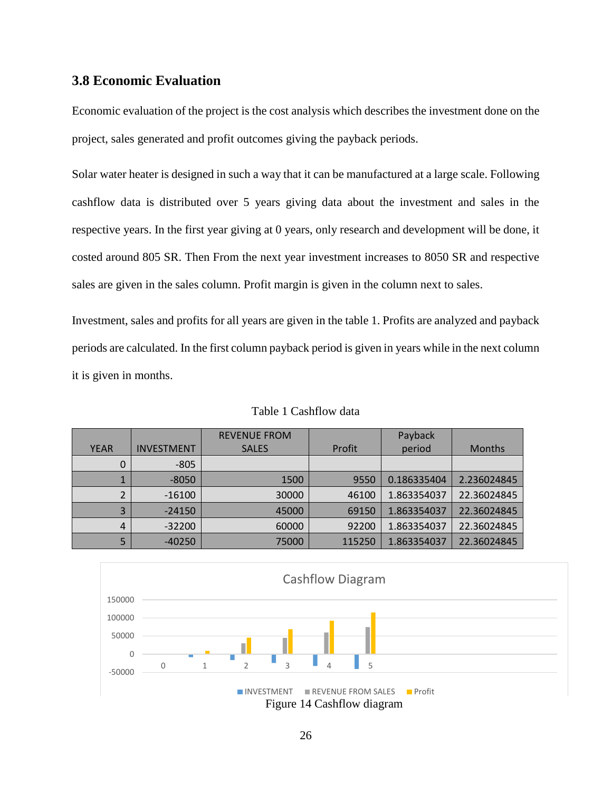#### <span id="page-25-1"></span>**3.8 Economic Evaluation**

Economic evaluation of the project is the cost analysis which describes the investment done on the project, sales generated and profit outcomes giving the payback periods.

Solar water heater is designed in such a way that it can be manufactured at a large scale. Following cashflow data is distributed over 5 years giving data about the investment and sales in the respective years. In the first year giving at 0 years, only research and development will be done, it costed around 805 SR. Then From the next year investment increases to 8050 SR and respective sales are given in the sales column. Profit margin is given in the column next to sales.

Investment, sales and profits for all years are given in the table 1. Profits are analyzed and payback periods are calculated. In the first column payback period is given in years while in the next column it is given in months.

<span id="page-25-0"></span>

|             |                   | <b>REVENUE FROM</b> |        | Payback     |               |
|-------------|-------------------|---------------------|--------|-------------|---------------|
| <b>YEAR</b> | <b>INVESTMENT</b> | <b>SALES</b>        | Profit | period      | <b>Months</b> |
| 0           | $-805$            |                     |        |             |               |
| J.          | $-8050$           | 1500                | 9550   | 0.186335404 | 2.236024845   |
| 2           | $-16100$          | 30000               | 46100  | 1.863354037 | 22.36024845   |
| 3           | $-24150$          | 45000               | 69150  | 1.863354037 | 22.36024845   |
| 4           | $-32200$          | 60000               | 92200  | 1.863354037 | 22.36024845   |
| 5           | $-40250$          | 75000               | 115250 | 1.863354037 | 22.36024845   |

Table 1 Cashflow data

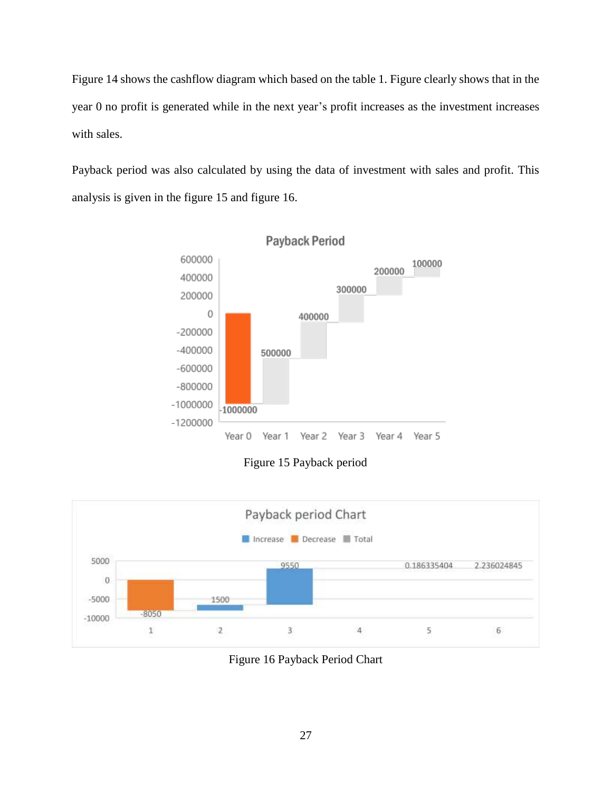Figure 14 shows the cashflow diagram which based on the table 1. Figure clearly shows that in the year 0 no profit is generated while in the next year's profit increases as the investment increases with sales.

Payback period was also calculated by using the data of investment with sales and profit. This analysis is given in the figure 15 and figure 16.



Figure 15 Payback period



Figure 16 Payback Period Chart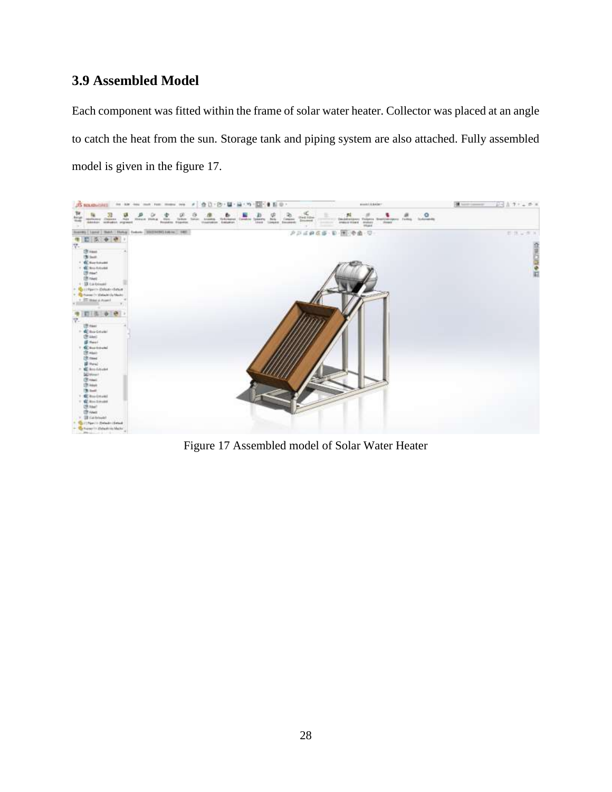### <span id="page-27-0"></span>**3.9 Assembled Model**

Each component was fitted within the frame of solar water heater. Collector was placed at an angle to catch the heat from the sun. Storage tank and piping system are also attached. Fully assembled model is given in the figure 17.



Figure 17 Assembled model of Solar Water Heater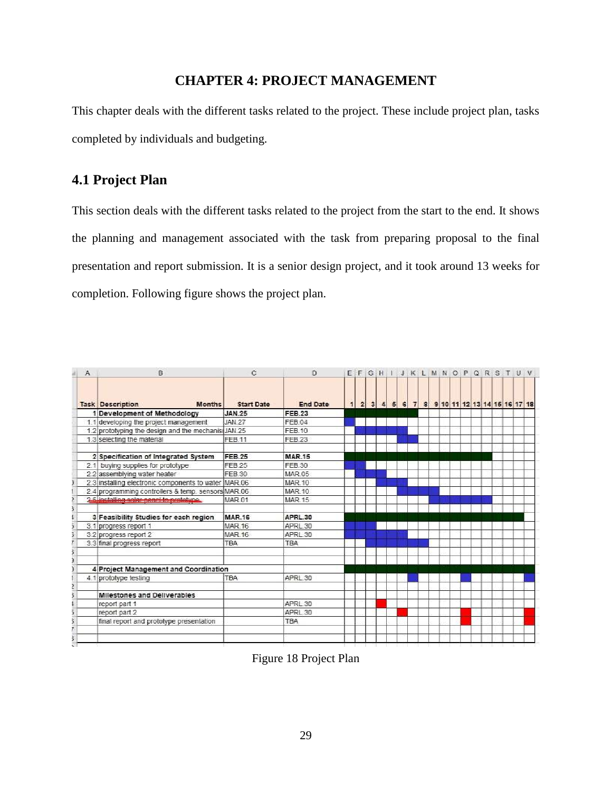#### **CHAPTER 4: PROJECT MANAGEMENT**

<span id="page-28-0"></span>This chapter deals with the different tasks related to the project. These include project plan, tasks completed by individuals and budgeting.

### <span id="page-28-1"></span>**4.1 Project Plan**

This section deals with the different tasks related to the project from the start to the end. It shows the planning and management associated with the task from preparing proposal to the final presentation and report submission. It is a senior design project, and it took around 13 weeks for completion. Following figure shows the project plan.

|    | A | в                                                    | $\mathbb{C}$      | Ð               |  |  |  |  |  |  |  | EFGHIJKLMNOPQRSTUV                           |  |  |
|----|---|------------------------------------------------------|-------------------|-----------------|--|--|--|--|--|--|--|----------------------------------------------|--|--|
|    |   | <b>Task Description</b><br><b>Months</b>             | <b>Start Date</b> | <b>End Date</b> |  |  |  |  |  |  |  | 1 2 3 4 5 6 7 8 9 10 11 12 13 14 15 16 17 18 |  |  |
|    |   | 1 Development of Methodology                         | <b>JAN.25</b>     | <b>FEB.23</b>   |  |  |  |  |  |  |  |                                              |  |  |
|    |   | 1.1 developing the project management                | <b>JAN 27</b>     | FFB 04          |  |  |  |  |  |  |  |                                              |  |  |
|    |   | 1.2 prototyping the design and the mechanis JAN.25   |                   | FEB 10          |  |  |  |  |  |  |  |                                              |  |  |
|    |   | 1.3 selecting the material                           | FEB.11            | <b>FEB 23</b>   |  |  |  |  |  |  |  |                                              |  |  |
|    |   | 2 Specification of Integrated System                 | <b>FEB.25</b>     | <b>MAR.15</b>   |  |  |  |  |  |  |  |                                              |  |  |
|    |   | 2.1 buying supplies for prototype                    | FEB 25            | FEB 30          |  |  |  |  |  |  |  |                                              |  |  |
|    |   | 2.2 assemblying water heater                         | FEB 30            | <b>MAR 05</b>   |  |  |  |  |  |  |  |                                              |  |  |
|    |   | 2.3 installing electronic components to water MAR.06 |                   | <b>MAR.10</b>   |  |  |  |  |  |  |  |                                              |  |  |
|    |   | 2.4 programming controllers & temp. sensors MAR.06   |                   | <b>MAR 10</b>   |  |  |  |  |  |  |  |                                              |  |  |
|    |   | 2.5 inclailing solar panel to prototype.             | <b>MAR 01</b>     | <b>MAR 15</b>   |  |  |  |  |  |  |  |                                              |  |  |
|    |   | 3 Feasibility Studies for each region                | <b>MAR.16</b>     | APRL.30         |  |  |  |  |  |  |  |                                              |  |  |
|    |   | 3.1 progress report 1                                | <b>MAR.16</b>     | APRL 30         |  |  |  |  |  |  |  |                                              |  |  |
|    |   | 3.2 progress report 2                                | <b>MAR 16</b>     | APRL 30         |  |  |  |  |  |  |  |                                              |  |  |
|    |   | 3.3 final progress report                            | <b>TBA</b>        | <b>TBA</b>      |  |  |  |  |  |  |  |                                              |  |  |
|    |   |                                                      |                   |                 |  |  |  |  |  |  |  |                                              |  |  |
|    |   |                                                      |                   |                 |  |  |  |  |  |  |  |                                              |  |  |
|    |   | 4 Project Management and Coordination                |                   |                 |  |  |  |  |  |  |  |                                              |  |  |
|    |   | 4.1 prototype testing                                | <b>TBA</b>        | APRL 30         |  |  |  |  |  |  |  |                                              |  |  |
|    |   |                                                      |                   |                 |  |  |  |  |  |  |  |                                              |  |  |
|    |   | Milestones and Deliverables                          |                   |                 |  |  |  |  |  |  |  |                                              |  |  |
|    |   | report part 1                                        |                   | APRL 30         |  |  |  |  |  |  |  |                                              |  |  |
|    |   | report part 2                                        |                   | APRL 30         |  |  |  |  |  |  |  |                                              |  |  |
|    |   | final report and prototype presentation              |                   | <b>TBA</b>      |  |  |  |  |  |  |  |                                              |  |  |
|    |   |                                                      |                   |                 |  |  |  |  |  |  |  |                                              |  |  |
|    |   |                                                      |                   |                 |  |  |  |  |  |  |  |                                              |  |  |
| s. |   |                                                      |                   |                 |  |  |  |  |  |  |  |                                              |  |  |

Figure 18 Project Plan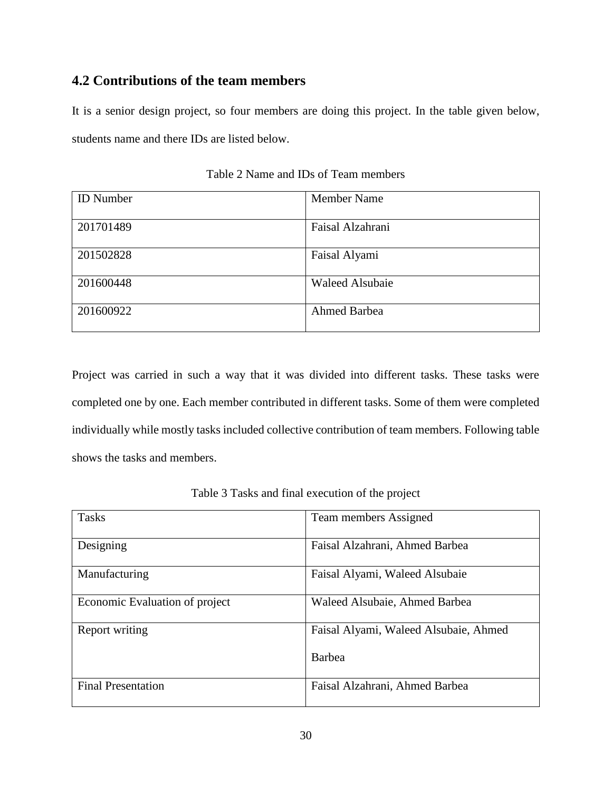#### <span id="page-29-2"></span>**4.2 Contributions of the team members**

It is a senior design project, so four members are doing this project. In the table given below, students name and there IDs are listed below.

<span id="page-29-0"></span>

| <b>ID</b> Number | <b>Member Name</b>     |
|------------------|------------------------|
| 201701489        | Faisal Alzahrani       |
| 201502828        | Faisal Alyami          |
| 201600448        | <b>Waleed Alsubaie</b> |
| 201600922        | <b>Ahmed Barbea</b>    |

Table 2 Name and IDs of Team members

Project was carried in such a way that it was divided into different tasks. These tasks were completed one by one. Each member contributed in different tasks. Some of them were completed individually while mostly tasks included collective contribution of team members. Following table shows the tasks and members.

<span id="page-29-1"></span>

| <b>Tasks</b>                   | Team members Assigned                 |
|--------------------------------|---------------------------------------|
| Designing                      | Faisal Alzahrani, Ahmed Barbea        |
| Manufacturing                  | Faisal Alyami, Waleed Alsubaie        |
| Economic Evaluation of project | Waleed Alsubaie, Ahmed Barbea         |
| Report writing                 | Faisal Alyami, Waleed Alsubaie, Ahmed |
|                                | Barbea                                |
| <b>Final Presentation</b>      | Faisal Alzahrani, Ahmed Barbea        |

Table 3 Tasks and final execution of the project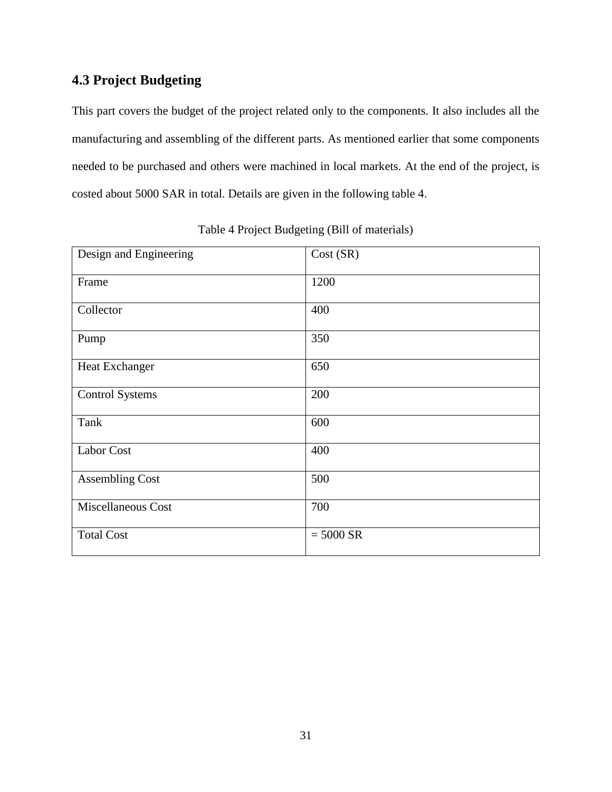# <span id="page-30-1"></span>**4.3 Project Budgeting**

This part covers the budget of the project related only to the components. It also includes all the manufacturing and assembling of the different parts. As mentioned earlier that some components needed to be purchased and others were machined in local markets. At the end of the project, is costed about 5000 SAR in total. Details are given in the following table 4.

<span id="page-30-0"></span>

| Design and Engineering    | Cost (SR)   |
|---------------------------|-------------|
| Frame                     | 1200        |
| Collector                 | 400         |
| Pump                      | 350         |
| Heat Exchanger            | 650         |
| <b>Control Systems</b>    | 200         |
| Tank                      | 600         |
| Labor Cost                | 400         |
| <b>Assembling Cost</b>    | 500         |
| <b>Miscellaneous Cost</b> | 700         |
| <b>Total Cost</b>         | $= 5000$ SR |

Table 4 Project Budgeting (Bill of materials)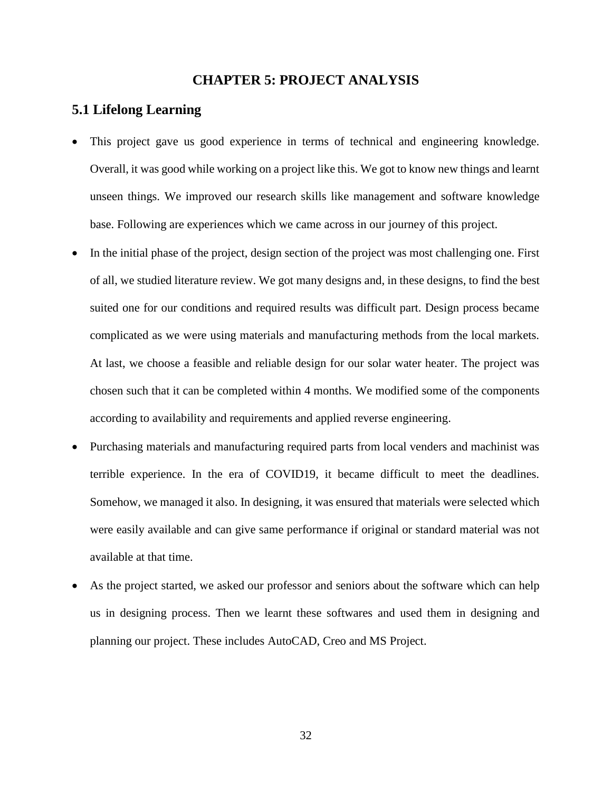#### **CHAPTER 5: PROJECT ANALYSIS**

#### <span id="page-31-1"></span><span id="page-31-0"></span>**5.1 Lifelong Learning**

- This project gave us good experience in terms of technical and engineering knowledge. Overall, it was good while working on a project like this. We got to know new things and learnt unseen things. We improved our research skills like management and software knowledge base. Following are experiences which we came across in our journey of this project.
- In the initial phase of the project, design section of the project was most challenging one. First of all, we studied literature review. We got many designs and, in these designs, to find the best suited one for our conditions and required results was difficult part. Design process became complicated as we were using materials and manufacturing methods from the local markets. At last, we choose a feasible and reliable design for our solar water heater. The project was chosen such that it can be completed within 4 months. We modified some of the components according to availability and requirements and applied reverse engineering.
- Purchasing materials and manufacturing required parts from local venders and machinist was terrible experience. In the era of COVID19, it became difficult to meet the deadlines. Somehow, we managed it also. In designing, it was ensured that materials were selected which were easily available and can give same performance if original or standard material was not available at that time.
- As the project started, we asked our professor and seniors about the software which can help us in designing process. Then we learnt these softwares and used them in designing and planning our project. These includes AutoCAD, Creo and MS Project.

32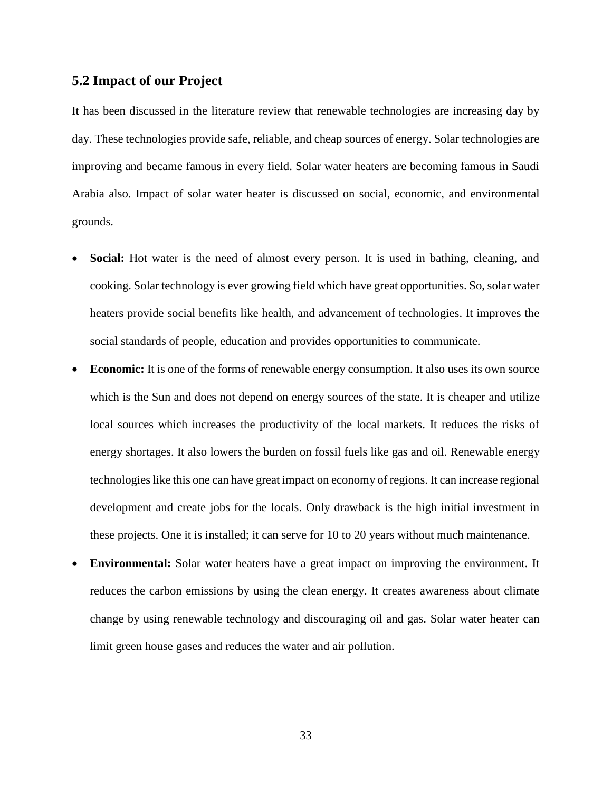#### <span id="page-32-0"></span>**5.2 Impact of our Project**

It has been discussed in the literature review that renewable technologies are increasing day by day. These technologies provide safe, reliable, and cheap sources of energy. Solar technologies are improving and became famous in every field. Solar water heaters are becoming famous in Saudi Arabia also. Impact of solar water heater is discussed on social, economic, and environmental grounds.

- **Social:** Hot water is the need of almost every person. It is used in bathing, cleaning, and cooking. Solar technology is ever growing field which have great opportunities. So, solar water heaters provide social benefits like health, and advancement of technologies. It improves the social standards of people, education and provides opportunities to communicate.
- **Economic:** It is one of the forms of renewable energy consumption. It also uses its own source which is the Sun and does not depend on energy sources of the state. It is cheaper and utilize local sources which increases the productivity of the local markets. It reduces the risks of energy shortages. It also lowers the burden on fossil fuels like gas and oil. Renewable energy technologies like this one can have great impact on economy of regions. It can increase regional development and create jobs for the locals. Only drawback is the high initial investment in these projects. One it is installed; it can serve for 10 to 20 years without much maintenance.
- **Environmental:** Solar water heaters have a great impact on improving the environment. It reduces the carbon emissions by using the clean energy. It creates awareness about climate change by using renewable technology and discouraging oil and gas. Solar water heater can limit green house gases and reduces the water and air pollution.

33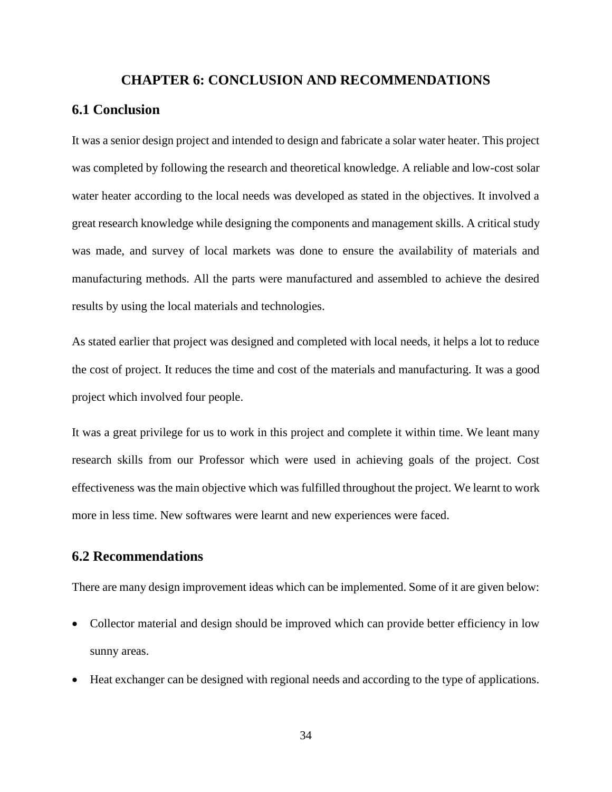#### **CHAPTER 6: CONCLUSION AND RECOMMENDATIONS**

#### <span id="page-33-1"></span><span id="page-33-0"></span>**6.1 Conclusion**

It was a senior design project and intended to design and fabricate a solar water heater. This project was completed by following the research and theoretical knowledge. A reliable and low-cost solar water heater according to the local needs was developed as stated in the objectives. It involved a great research knowledge while designing the components and management skills. A critical study was made, and survey of local markets was done to ensure the availability of materials and manufacturing methods. All the parts were manufactured and assembled to achieve the desired results by using the local materials and technologies.

As stated earlier that project was designed and completed with local needs, it helps a lot to reduce the cost of project. It reduces the time and cost of the materials and manufacturing. It was a good project which involved four people.

It was a great privilege for us to work in this project and complete it within time. We leant many research skills from our Professor which were used in achieving goals of the project. Cost effectiveness was the main objective which was fulfilled throughout the project. We learnt to work more in less time. New softwares were learnt and new experiences were faced.

#### <span id="page-33-2"></span>**6.2 Recommendations**

There are many design improvement ideas which can be implemented. Some of it are given below:

- Collector material and design should be improved which can provide better efficiency in low sunny areas.
- Heat exchanger can be designed with regional needs and according to the type of applications.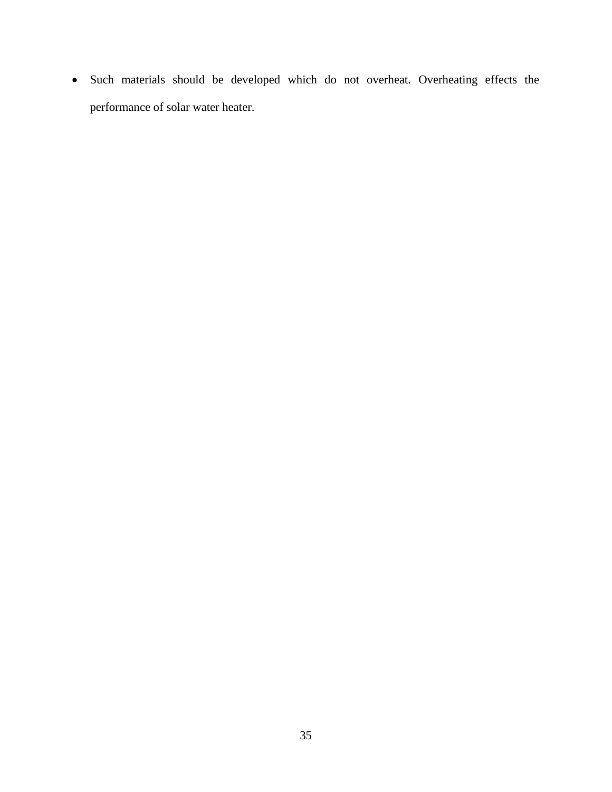Such materials should be developed which do not overheat. Overheating effects the performance of solar water heater.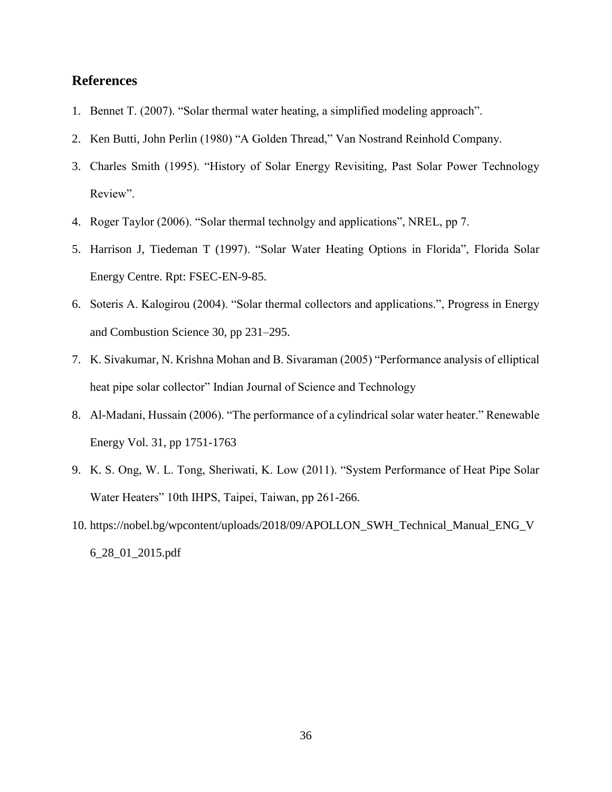#### <span id="page-35-0"></span>**References**

- 1. Bennet T. (2007). "Solar thermal water heating, a simplified modeling approach".
- 2. Ken Butti, John Perlin (1980) "A Golden Thread," Van Nostrand Reinhold Company.
- 3. Charles Smith (1995). "History of Solar Energy Revisiting, Past Solar Power Technology Review".
- 4. Roger Taylor (2006). "Solar thermal technolgy and applications", NREL, pp 7.
- 5. Harrison J, Tiedeman T (1997). "Solar Water Heating Options in Florida", Florida Solar Energy Centre. Rpt: FSEC-EN-9-85.
- 6. Soteris A. Kalogirou (2004). "Solar thermal collectors and applications.", Progress in Energy and Combustion Science 30, pp 231–295.
- 7. K. Sivakumar, N. Krishna Mohan and B. Sivaraman (2005) "Performance analysis of elliptical heat pipe solar collector" Indian Journal of Science and Technology
- 8. Al-Madani, Hussain (2006). "The performance of a cylindrical solar water heater." Renewable Energy Vol. 31, pp 1751-1763
- 9. K. S. Ong, W. L. Tong, Sheriwati, K. Low (2011). "System Performance of Heat Pipe Solar Water Heaters" 10th IHPS, Taipei, Taiwan, pp 261-266.
- 10. https://nobel.bg/wpcontent/uploads/2018/09/APOLLON\_SWH\_Technical\_Manual\_ENG\_V 6\_28\_01\_2015.pdf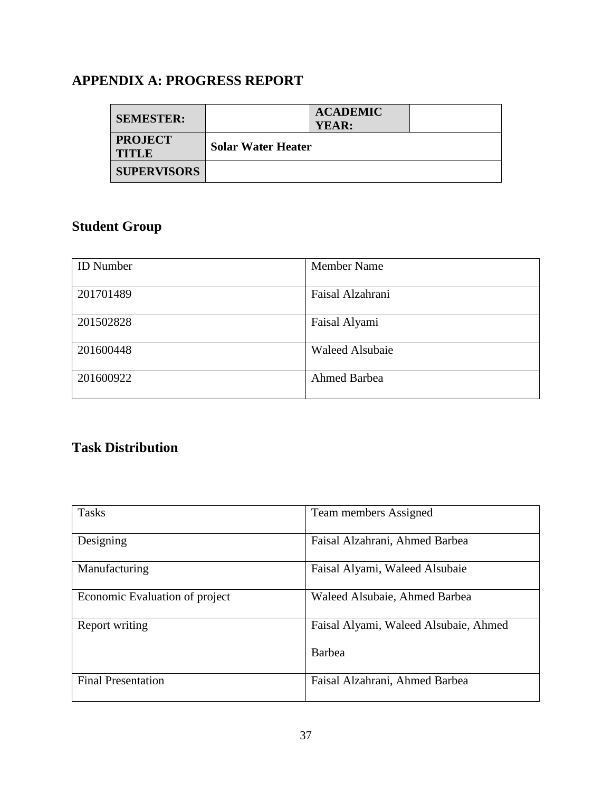## <span id="page-36-0"></span>**APPENDIX A: PROGRESS REPORT**

| <b>SEMESTER:</b>               | YEAR:                     | <b>ACADEMIC</b> |  |
|--------------------------------|---------------------------|-----------------|--|
| <b>PROJECT</b><br><b>TITLE</b> | <b>Solar Water Heater</b> |                 |  |
| <b>SUPERVISORS</b>             |                           |                 |  |

# **Student Group**

| <b>ID</b> Number | <b>Member Name</b>     |
|------------------|------------------------|
| 201701489        | Faisal Alzahrani       |
| 201502828        | Faisal Alyami          |
| 201600448        | <b>Waleed Alsubaie</b> |
| 201600922        | <b>Ahmed Barbea</b>    |

## **Task Distribution**

| <b>Tasks</b>                   | Team members Assigned                 |
|--------------------------------|---------------------------------------|
| Designing                      | Faisal Alzahrani, Ahmed Barbea        |
| Manufacturing                  | Faisal Alyami, Waleed Alsubaie        |
| Economic Evaluation of project | Waleed Alsubaie, Ahmed Barbea         |
| Report writing                 | Faisal Alyami, Waleed Alsubaie, Ahmed |
|                                | Barbea                                |
| <b>Final Presentation</b>      | Faisal Alzahrani, Ahmed Barbea        |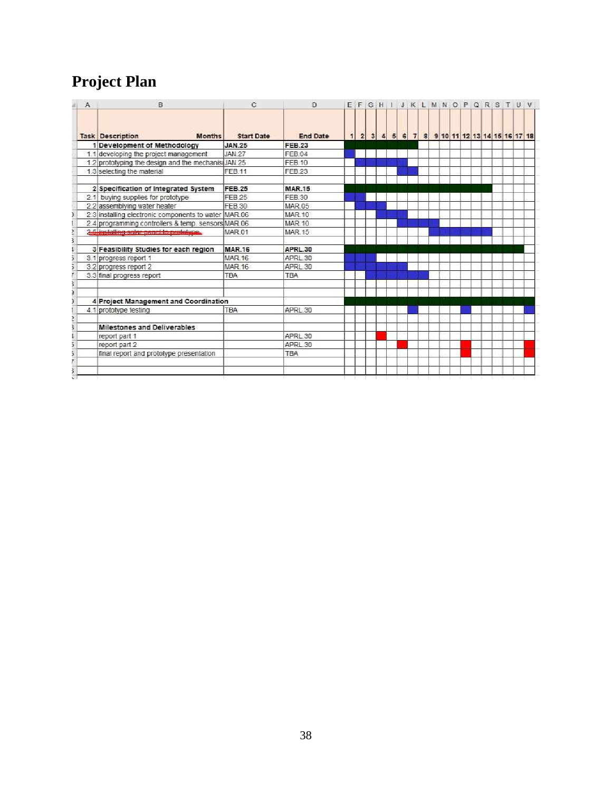# **Project Plan**

| $\mathcal{A}$ | B                                                    | C                 | Ð                 |  |  |  |  |  |  |  |  | EFGHIJKLMNOPQRSTUV                           |  |
|---------------|------------------------------------------------------|-------------------|-------------------|--|--|--|--|--|--|--|--|----------------------------------------------|--|
|               | <b>Task Description</b><br><b>Months</b>             | <b>Start Date</b> | <b>End Date</b>   |  |  |  |  |  |  |  |  | 1 2 3 4 5 6 7 8 9 10 11 12 13 14 15 16 17 18 |  |
|               | 1 Development of Methodology                         | <b>JAN.25</b>     | <b>FEB.23</b>     |  |  |  |  |  |  |  |  |                                              |  |
|               | 1.1 developing the project management                | <b>JAN 27</b>     | <b>FFB04</b>      |  |  |  |  |  |  |  |  |                                              |  |
|               | 1.2 prototyping the design and the mechanis JAN.25   |                   | FFB 10            |  |  |  |  |  |  |  |  |                                              |  |
|               | 1.3 selecting the material                           | FEB.11            | FEB <sub>23</sub> |  |  |  |  |  |  |  |  |                                              |  |
|               | 2 Specification of Integrated System                 | <b>FEB.25</b>     | <b>MAR.15</b>     |  |  |  |  |  |  |  |  |                                              |  |
|               | 2.1 buying supplies for prototype                    | FEB 25            | FEB 30            |  |  |  |  |  |  |  |  |                                              |  |
|               | 2.2 assemblying water heater                         | FEB 30            | <b>MAR 05</b>     |  |  |  |  |  |  |  |  |                                              |  |
|               | 2.3 installing electronic components to water MAR.06 |                   | <b>MAR.10</b>     |  |  |  |  |  |  |  |  |                                              |  |
|               | 2.4 programming controllers & temp. sensors MAR.06   |                   | <b>MAR 10</b>     |  |  |  |  |  |  |  |  |                                              |  |
|               | 2.5 installing solar panel to prototype.             | <b>MAR 01</b>     | <b>MAR.15</b>     |  |  |  |  |  |  |  |  |                                              |  |
|               | 3 Feasibility Studies for each region                | <b>MAR.16</b>     | APRL.30           |  |  |  |  |  |  |  |  |                                              |  |
|               | 3.1 progress report 1                                | <b>MAR.16</b>     | APRL 30           |  |  |  |  |  |  |  |  |                                              |  |
|               | 3.2 progress report 2                                | <b>MAR.16</b>     | APRL 30           |  |  |  |  |  |  |  |  |                                              |  |
|               | 3.3 final progress report                            | <b>TBA</b>        | <b>TBA</b>        |  |  |  |  |  |  |  |  |                                              |  |
|               |                                                      |                   |                   |  |  |  |  |  |  |  |  |                                              |  |
|               | 4 Project Management and Coordination                |                   |                   |  |  |  |  |  |  |  |  |                                              |  |
|               | 4.1 prototype testing                                | <b>TBA</b>        | APRL 30           |  |  |  |  |  |  |  |  |                                              |  |
|               | Milestones and Deliverables                          |                   |                   |  |  |  |  |  |  |  |  |                                              |  |
|               | report part 1                                        |                   | APRL 30           |  |  |  |  |  |  |  |  |                                              |  |
|               | report part 2                                        |                   | APRL 30           |  |  |  |  |  |  |  |  |                                              |  |
|               | final report and prototype presentation              |                   | <b>TBA</b>        |  |  |  |  |  |  |  |  |                                              |  |
|               |                                                      |                   |                   |  |  |  |  |  |  |  |  |                                              |  |
|               |                                                      |                   |                   |  |  |  |  |  |  |  |  |                                              |  |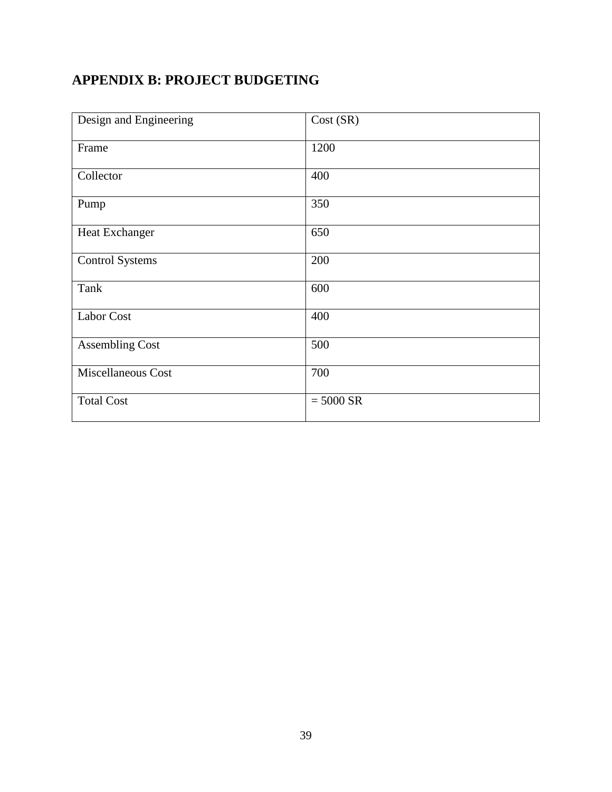## <span id="page-38-0"></span>**APPENDIX B: PROJECT BUDGETING**

| Design and Engineering | Cost (SR)   |
|------------------------|-------------|
| Frame                  | 1200        |
| Collector              | 400         |
| Pump                   | 350         |
| Heat Exchanger         | 650         |
| <b>Control Systems</b> | 200         |
| Tank                   | 600         |
| <b>Labor Cost</b>      | 400         |
| <b>Assembling Cost</b> | 500         |
| Miscellaneous Cost     | 700         |
| <b>Total Cost</b>      | $= 5000$ SR |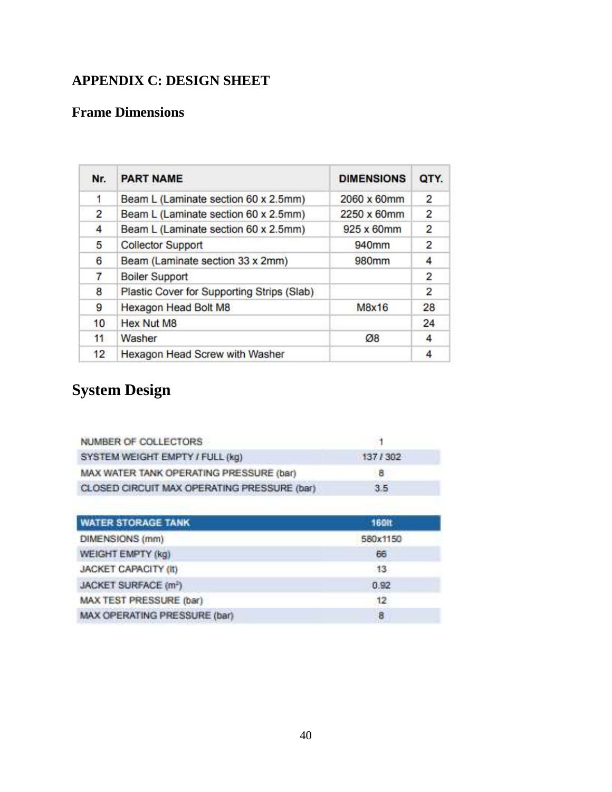## <span id="page-39-0"></span>**APPENDIX C: DESIGN SHEET**

### **Frame Dimensions**

| Nr. | <b>PART NAME</b>                           | <b>DIMENSIONS</b> | QTY.           |
|-----|--------------------------------------------|-------------------|----------------|
| 1   | Beam L (Laminate section 60 x 2.5mm)       | 2060 x 60mm       | $\overline{2}$ |
| 2   | Beam L (Laminate section 60 x 2.5mm)       | 2250 x 60mm       | $\overline{2}$ |
| 4   | Beam L (Laminate section 60 x 2.5mm)       | 925 x 60mm        | $\overline{2}$ |
| 5   | <b>Collector Support</b>                   | 940mm             | $\overline{2}$ |
| 6   | Beam (Laminate section 33 x 2mm)           | 980mm             | 4              |
| 7   | <b>Boiler Support</b>                      |                   | 2              |
| 8   | Plastic Cover for Supporting Strips (Slab) |                   | 2              |
| 9   | Hexagon Head Bolt M8                       | M8x16             | 28             |
| 10  | <b>Hex Nut M8</b>                          |                   | 24             |
| 11  | Washer                                     | Ø8                | 4              |
| 12  | Hexagon Head Screw with Washer             |                   |                |

# **System Design**

| NUMBER OF COLLECTORS                        |         |  |
|---------------------------------------------|---------|--|
| SYSTEM WEIGHT EMPTY / FULL (kg)             | 137/302 |  |
| MAX WATER TANK OPERATING PRESSURE (bar)     | в       |  |
| CLOSED CIRCUIT MAX OPERATING PRESSURE (bar) | 3.5.    |  |

| <b>WATER STORAGE TANK</b>        | <b>160H</b> |
|----------------------------------|-------------|
| DIMENSIONS (mm)                  | 580x1150    |
| WEIGHT EMPTY (kg)                | 66          |
| <b>JACKET CAPACITY (II)</b>      | 13          |
| JACKET SURFACE (m <sup>3</sup> ) | 0.92        |
| MAX TEST PRESSURE (bar)          | 12          |
| MAX OPERATING PRESSURE (bar)     | -8          |
|                                  |             |